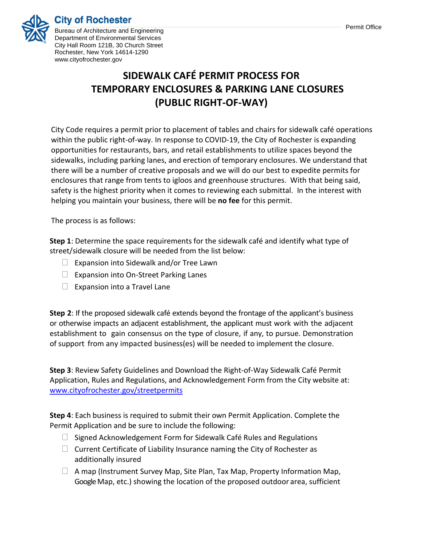### **City of Rochester**



Bureau of Architecture and Engineering Department of Environmental Services City Hall Room 121B, 30 Church Street Rochester, New York 14614-1290 www.cityofrochester.gov

## **SIDEWALK CAFÉ PERMIT PROCESS FOR TEMPORARY ENCLOSURES & PARKING LANE CLOSURES (PUBLIC RIGHT-OF-WAY)**

City Code requires a permit prior to placement of tables and chairs for sidewalk café operations within the public right-of-way. In response to COVID-19, the City of Rochester is expanding opportunities for restaurants, bars, and retail establishments to utilize spaces beyond the sidewalks, including parking lanes, and erection of temporary enclosures. We understand that there will be a number of creative proposals and we will do our best to expedite permits for enclosures that range from tents to igloos and greenhouse structures. With that being said, safety is the highest priority when it comes to reviewing each submittal. In the interest with helping you maintain your business, there will be **no fee** for this permit.

The process is as follows:

**Step 1**: Determine the space requirements for the sidewalk café and identify what type of street/sidewalk closure will be needed from the list below:

- $\Box$  Expansion into Sidewalk and/or Tree Lawn
- $\Box$  Expansion into On-Street Parking Lanes
- $\Box$  Expansion into a Travel Lane

**Step 2**: If the proposed sidewalk café extends beyond the frontage of the applicant's business or otherwise impacts an adjacent establishment, the applicant must work with the adjacent establishment to gain consensus on the type of closure, if any, to pursue. Demonstration of support from any impacted business(es) will be needed to implement the closure.

**Step 3**: Review Safety Guidelines and Download the Right-of-Way Sidewalk Café Permit Application, Rules and Regulations, and Acknowledgement Form from the City website at: [www.cityofrochester.gov/streetpermits](http://www.cityofrochester.gov/streetpermits)

**Step 4**: Each business is required to submit their own Permit Application. Complete the Permit Application and be sure to include the following:

- $\Box$  Signed Acknowledgement Form for Sidewalk Café Rules and Regulations
- $\Box$  Current Certificate of Liability Insurance naming the City of Rochester as additionally insured
- $\Box$  A map (Instrument Survey Map, Site Plan, Tax Map, Property Information Map, Google Map, etc.) showing the location of the proposed outdoor area, sufficient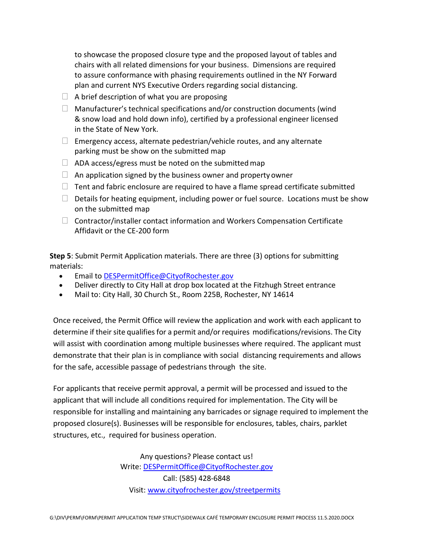to showcase the proposed closure type and the proposed layout of tables and chairs with all related dimensions for your business. Dimensions are required to assure conformance with phasing requirements outlined in the NY Forward plan and current NYS Executive Orders regarding social distancing.

- $\Box$  A brief description of what you are proposing
- $\Box$  Manufacturer's technical specifications and/or construction documents (wind & snow load and hold down info), certified by a professional engineer licensed in the State of New York.
- $\Box$  Emergency access, alternate pedestrian/vehicle routes, and any alternate parking must be show on the submitted map
- $\Box$  ADA access/egress must be noted on the submitted map
- $\Box$  An application signed by the business owner and property owner
- $\Box$  Tent and fabric enclosure are required to have a flame spread certificate submitted
- $\Box$  Details for heating equipment, including power or fuel source. Locations must be show on the submitted map
- $\Box$  Contractor/installer contact information and Workers Compensation Certificate Affidavit or the CE-200 form

**Step 5**: Submit Permit Application materials. There are three (3) options for submitting materials:

- Email to [DESPermitOffice@CityofRochester.gov](mailto:DESPermitOffice@CityofRochester.gov)
- Deliver directly to City Hall at drop box located at the Fitzhugh Street entrance
- Mail to: City Hall, 30 Church St., Room 225B, Rochester, NY 14614

Once received, the Permit Office will review the application and work with each applicant to determine if their site qualifiesfor a permit and/or requires modifications/revisions. The City will assist with coordination among multiple businesses where required. The applicant must demonstrate that their plan is in compliance with social distancing requirements and allows for the safe, accessible passage of pedestrians through the site.

For applicants that receive permit approval, a permit will be processed and issued to the applicant that will include all conditions required for implementation. The City will be responsible for installing and maintaining any barricades or signage required to implement the proposed closure(s). Businesses will be responsible for enclosures, tables, chairs, parklet structures, etc., required for business operation.

> Any questions? Please contact us! Write: [DESPermitOffice@CityofRochester.gov](mailto:DESPermitOffice@CityofRochester.gov) Call: (585) 428-6848 Visit: [www.cityofrochester.gov/streetpermits](http://www.cityofrochester.gov/streetpermits)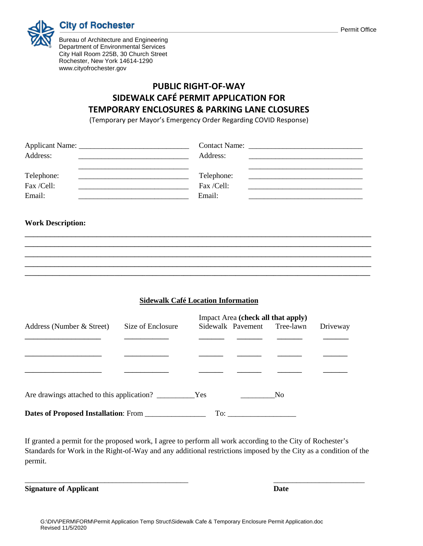

Bureau of Architecture and Engineering Department of Environmental Services City Hall Room 225B, 30 Church Street Rochester, New York 14614-1290 www.cityofrochester.gov

#### **PUBLIC RIGHT-OF-WAY SIDEWALK CAFÉ PERMIT APPLICATION FOR TEMPORARY ENCLOSURES & PARKING LANE CLOSURES**

(Temporary per Mayor's Emergency Order Regarding COVID Response)

| Address:   | Address:   |  |
|------------|------------|--|
|            |            |  |
| Telephone: | Telephone: |  |
| Fax /Cell: | Fax /Cell: |  |
| Email:     | Email:     |  |

#### **Work Description:**

**Sidewalk Café Location Information**

\_\_\_\_\_\_\_\_\_\_\_\_\_\_\_\_\_\_\_\_\_\_\_\_\_\_\_\_\_\_\_\_\_\_\_\_\_\_\_\_\_\_\_\_\_\_\_\_\_\_\_\_\_\_\_\_\_\_\_\_\_\_\_\_\_\_\_\_\_\_\_\_\_\_\_\_\_\_\_\_\_\_ \_\_\_\_\_\_\_\_\_\_\_\_\_\_\_\_\_\_\_\_\_\_\_\_\_\_\_\_\_\_\_\_\_\_\_\_\_\_\_\_\_\_\_\_\_\_\_\_\_\_\_\_\_\_\_\_\_\_\_\_\_\_\_\_\_\_\_\_\_\_\_\_\_\_\_\_\_\_\_\_\_\_ \_\_\_\_\_\_\_\_\_\_\_\_\_\_\_\_\_\_\_\_\_\_\_\_\_\_\_\_\_\_\_\_\_\_\_\_\_\_\_\_\_\_\_\_\_\_\_\_\_\_\_\_\_\_\_\_\_\_\_\_\_\_\_\_\_\_\_\_\_\_\_\_\_\_\_\_\_\_\_\_\_\_ \_\_\_\_\_\_\_\_\_\_\_\_\_\_\_\_\_\_\_\_\_\_\_\_\_\_\_\_\_\_\_\_\_\_\_\_\_\_\_\_\_\_\_\_\_\_\_\_\_\_\_\_\_\_\_\_\_\_\_\_\_\_\_\_\_\_\_\_\_\_\_\_\_\_\_\_\_\_\_\_\_\_ **\_\_\_\_\_\_\_\_\_\_\_\_\_\_\_\_\_\_\_\_\_\_\_\_\_\_\_\_\_\_\_\_\_\_\_\_\_\_\_\_\_\_\_\_\_\_\_\_\_\_\_\_\_\_\_\_\_\_\_\_\_\_\_\_\_\_\_\_\_\_\_\_\_\_\_\_\_\_\_\_\_\_\_\_\_\_\_\_\_\_\_\_\_\_\_\_\_\_\_\_**

|                                      |                   | Impact Area (check all that apply) |  |                             |          |
|--------------------------------------|-------------------|------------------------------------|--|-----------------------------|----------|
| Address (Number & Street)            | Size of Enclosure |                                    |  | Sidewalk Pavement Tree-lawn | Driveway |
|                                      |                   |                                    |  |                             |          |
|                                      |                   |                                    |  |                             |          |
|                                      |                   |                                    |  |                             |          |
|                                      |                   |                                    |  | - No                        |          |
| Dates of Proposed Installation: From |                   | To:                                |  |                             |          |

If granted a permit for the proposed work, I agree to perform all work according to the City of Rochester's Standards for Work in the Right-of-Way and any additional restrictions imposed by the City as a condition of the permit.

\_\_\_\_\_\_\_\_\_\_\_\_\_\_\_\_\_\_\_\_\_\_\_\_\_\_\_\_\_\_\_\_\_\_\_\_\_\_\_\_\_\_\_ \_\_\_\_\_\_\_\_\_\_\_\_\_\_\_\_\_\_\_\_\_\_\_\_

**Signature of Applicant Date**